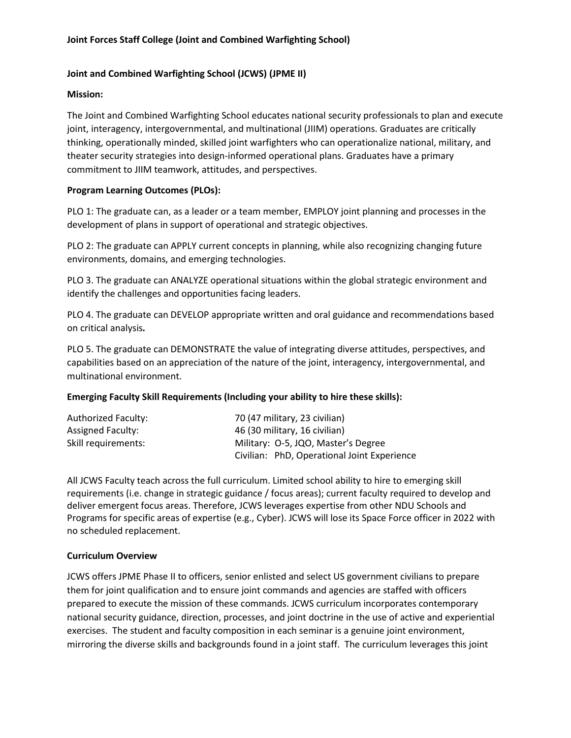## **Joint and Combined Warfighting School (JCWS) (JPME II)**

#### **Mission:**

The Joint and Combined Warfighting School educates national security professionals to plan and execute joint, interagency, intergovernmental, and multinational (JIIM) operations. Graduates are critically thinking, operationally minded, skilled joint warfighters who can operationalize national, military, and theater security strategies into design-informed operational plans. Graduates have a primary commitment to JIIM teamwork, attitudes, and perspectives.

## **Program Learning Outcomes (PLOs):**

PLO 1: The graduate can, as a leader or a team member, EMPLOY joint planning and processes in the development of plans in support of operational and strategic objectives.

PLO 2: The graduate can APPLY current concepts in planning, while also recognizing changing future environments, domains, and emerging technologies.

PLO 3. The graduate can ANALYZE operational situations within the global strategic environment and identify the challenges and opportunities facing leaders.

PLO 4. The graduate can DEVELOP appropriate written and oral guidance and recommendations based on critical analysis*.*

PLO 5. The graduate can DEMONSTRATE the value of integrating diverse attitudes, perspectives, and capabilities based on an appreciation of the nature of the joint, interagency, intergovernmental, and multinational environment.

# **Emerging Faculty Skill Requirements (Including your ability to hire these skills):**

| Authorized Faculty:      | 70 (47 military, 23 civilian)               |
|--------------------------|---------------------------------------------|
| <b>Assigned Faculty:</b> | 46 (30 military, 16 civilian)               |
| Skill requirements:      | Military: 0-5, JQO, Master's Degree         |
|                          | Civilian: PhD, Operational Joint Experience |

All JCWS Faculty teach across the full curriculum. Limited school ability to hire to emerging skill requirements (i.e. change in strategic guidance / focus areas); current faculty required to develop and deliver emergent focus areas. Therefore, JCWS leverages expertise from other NDU Schools and Programs for specific areas of expertise (e.g., Cyber). JCWS will lose its Space Force officer in 2022 with no scheduled replacement.

# **Curriculum Overview**

JCWS offers JPME Phase II to officers, senior enlisted and select US government civilians to prepare them for joint qualification and to ensure joint commands and agencies are staffed with officers prepared to execute the mission of these commands. JCWS curriculum incorporates contemporary national security guidance, direction, processes, and joint doctrine in the use of active and experiential exercises. The student and faculty composition in each seminar is a genuine joint environment, mirroring the diverse skills and backgrounds found in a joint staff. The curriculum leverages this joint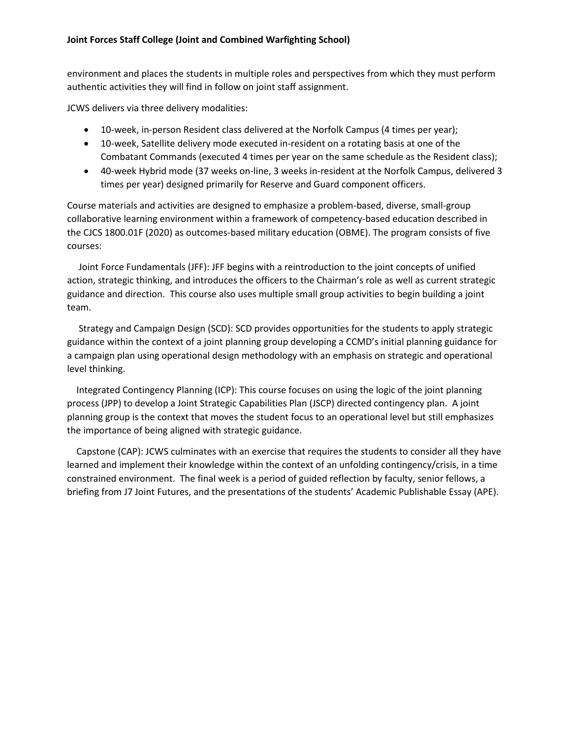#### **Joint Forces Staff College (Joint and Combined Warfighting School)**

environment and places the students in multiple roles and perspectives from which they must perform authentic activities they will find in follow on joint staff assignment.

JCWS delivers via three delivery modalities:

- 10-week, in-person Resident class delivered at the Norfolk Campus (4 times per year);
- 10-week, Satellite delivery mode executed in-resident on a rotating basis at one of the Combatant Commands (executed 4 times per year on the same schedule as the Resident class);
- 40-week Hybrid mode (37 weeks on-line, 3 weeks in-resident at the Norfolk Campus, delivered 3 times per year) designed primarily for Reserve and Guard component officers.

Course materials and activities are designed to emphasize a problem-based, diverse, small-group collaborative learning environment within a framework of competency-based education described in the CJCS 1800.01F (2020) as outcomes-based military education (OBME). The program consists of five courses:

Joint Force Fundamentals (JFF): JFF begins with a reintroduction to the joint concepts of unified action, strategic thinking, and introduces the officers to the Chairman's role as well as current strategic guidance and direction. This course also uses multiple small group activities to begin building a joint team.

 Strategy and Campaign Design (SCD): SCD provides opportunities for the students to apply strategic guidance within the context of a joint planning group developing a CCMD's initial planning guidance for a campaign plan using operational design methodology with an emphasis on strategic and operational level thinking.

 Integrated Contingency Planning (ICP): This course focuses on using the logic of the joint planning process (JPP) to develop a Joint Strategic Capabilities Plan (JSCP) directed contingency plan. A joint planning group is the context that moves the student focus to an operational level but still emphasizes the importance of being aligned with strategic guidance.

Capstone (CAP): JCWS culminates with an exercise that requires the students to consider all they have learned and implement their knowledge within the context of an unfolding contingency/crisis, in a time constrained environment. The final week is a period of guided reflection by faculty, senior fellows, a briefing from J7 Joint Futures, and the presentations of the students' Academic Publishable Essay (APE).